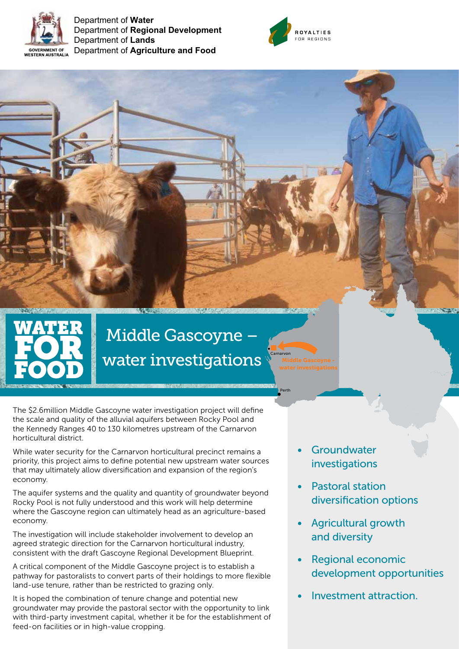

Department of **Water** Department of **Regional Development** Department of **Lands** Department of **Agriculture and Food**



# Middle Gascoyne – water investigations

**Carnarvon** 

Perth

The \$2.6million Middle Gascoyne water investigation project will define the scale and quality of the alluvial aquifers between Rocky Pool and the Kennedy Ranges 40 to 130 kilometres upstream of the Carnarvon horticultural district.

While water security for the Carnarvon horticultural precinct remains a priority, this project aims to define potential new upstream water sources that may ultimately allow diversification and expansion of the region's economy.

The aquifer systems and the quality and quantity of groundwater beyond Rocky Pool is not fully understood and this work will help determine where the Gascoyne region can ultimately head as an agriculture-based economy.

The investigation will include stakeholder involvement to develop an agreed strategic direction for the Carnarvon horticultural industry, consistent with the draft Gascoyne Regional Development Blueprint.

A critical component of the Middle Gascoyne project is to establish a pathway for pastoralists to convert parts of their holdings to more flexible land-use tenure, rather than be restricted to grazing only.

It is hoped the combination of tenure change and potential new groundwater may provide the pastoral sector with the opportunity to link with third-party investment capital, whether it be for the establishment of feed-on facilities or in high-value cropping.

- **Groundwater** investigations
- Pastoral station diversification options
- Agricultural growth and diversity
- Regional economic development opportunities
- Investment attraction.